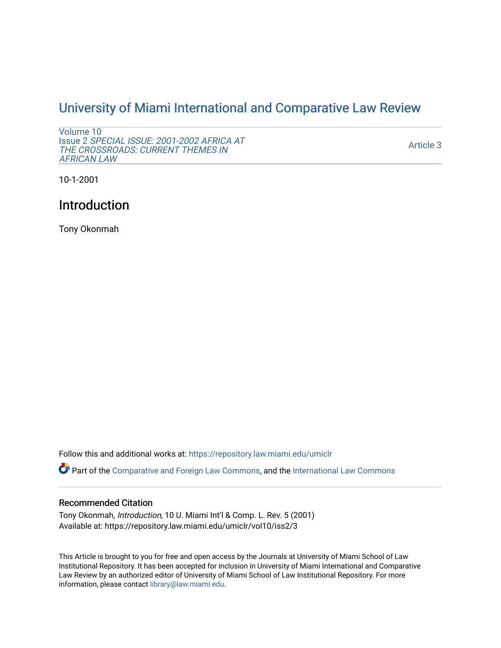## [University of Miami International and Comparative Law Review](https://repository.law.miami.edu/umiclr)

```
Volume 10 
Issue 2 SPECIAL ISSUE: 2001-2002 AFRICA AT 
THE CROSSROADS: CURRENT THEMES IN 
AFRICAN LAW
```
[Article 3](https://repository.law.miami.edu/umiclr/vol10/iss2/3) 

10-1-2001

## Introduction

Tony Okonmah

Follow this and additional works at: [https://repository.law.miami.edu/umiclr](https://repository.law.miami.edu/umiclr?utm_source=repository.law.miami.edu%2Fumiclr%2Fvol10%2Fiss2%2F3&utm_medium=PDF&utm_campaign=PDFCoverPages)

Part of the [Comparative and Foreign Law Commons,](http://network.bepress.com/hgg/discipline/836?utm_source=repository.law.miami.edu%2Fumiclr%2Fvol10%2Fiss2%2F3&utm_medium=PDF&utm_campaign=PDFCoverPages) and the [International Law Commons](http://network.bepress.com/hgg/discipline/609?utm_source=repository.law.miami.edu%2Fumiclr%2Fvol10%2Fiss2%2F3&utm_medium=PDF&utm_campaign=PDFCoverPages)

## Recommended Citation

Tony Okonmah, Introduction, 10 U. Miami Int'l & Comp. L. Rev. 5 (2001) Available at: https://repository.law.miami.edu/umiclr/vol10/iss2/3

This Article is brought to you for free and open access by the Journals at University of Miami School of Law Institutional Repository. It has been accepted for inclusion in University of Miami International and Comparative Law Review by an authorized editor of University of Miami School of Law Institutional Repository. For more information, please contact [library@law.miami.edu](mailto:library@law.miami.edu).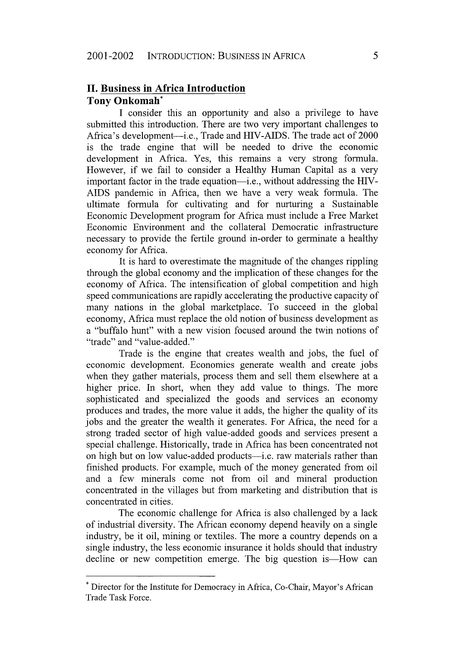## **II. Business in Africa Introduction Tony Onkomah\***

**I** consider this an opportunity and also a privilege to have submitted this introduction. There are two very important challenges to Africa's development-i.e., Trade and HIV-AIDS. The trade act of 2000 is the trade engine that will be needed to drive the economic development in Africa. Yes, this remains a very strong formula. However, if we fail to consider a Healthy Human Capital as a very important factor in the trade equation—i.e., without addressing the HIV-AIDS pandemic in Africa, then we have a very weak formula. The ultimate formula for cultivating and for nurturing a Sustainable Economic Development program for Africa must include a Free Market Economic Environment and the collateral Democratic infrastructure necessary to provide the fertile ground in-order to germinate a healthy economy for Africa.

It is hard to overestimate the magnitude of the changes rippling through the global economy and the implication of these changes for the economy of Africa. The intensification of global competition and high speed communications are rapidly accelerating the productive capacity of many nations in the global marketplace. To succeed in the global economy, Africa must replace the old notion of business development as a "buffalo hunt" with a new vision focused around the twin notions of "trade" and "value-added."

Trade is the engine that creates wealth and jobs, the fuel of economic development. Economies generate wealth and create jobs when they gather materials, process them and sell them elsewhere at a higher price. In short, when they add value to things. The more sophisticated and specialized the goods and services an economy produces and trades, the more value it adds, the higher the quality of its jobs and the greater the wealth it generates. For Africa, the need for a strong traded sector of high value-added goods and services present a special challenge. Historically, trade in Africa has been concentrated not on high but on low value-added products-i.e. raw materials rather than finished products. For example, much of the money generated from oil and a few minerals come not from oil and mineral production concentrated in the villages but from marketing and distribution that is concentrated in cities.

The economic challenge for Africa is also challenged by a lack of industrial diversity. The African economy depend heavily on a single industry, be it oil, mining or textiles. The more a country depends on a single industry, the less economic insurance it holds should that industry decline or new competition emerge. The big question is—How can

<sup>\*</sup> Director for the Institute for Democracy in Africa, Co-Chair, Mayor's African Trade Task Force.